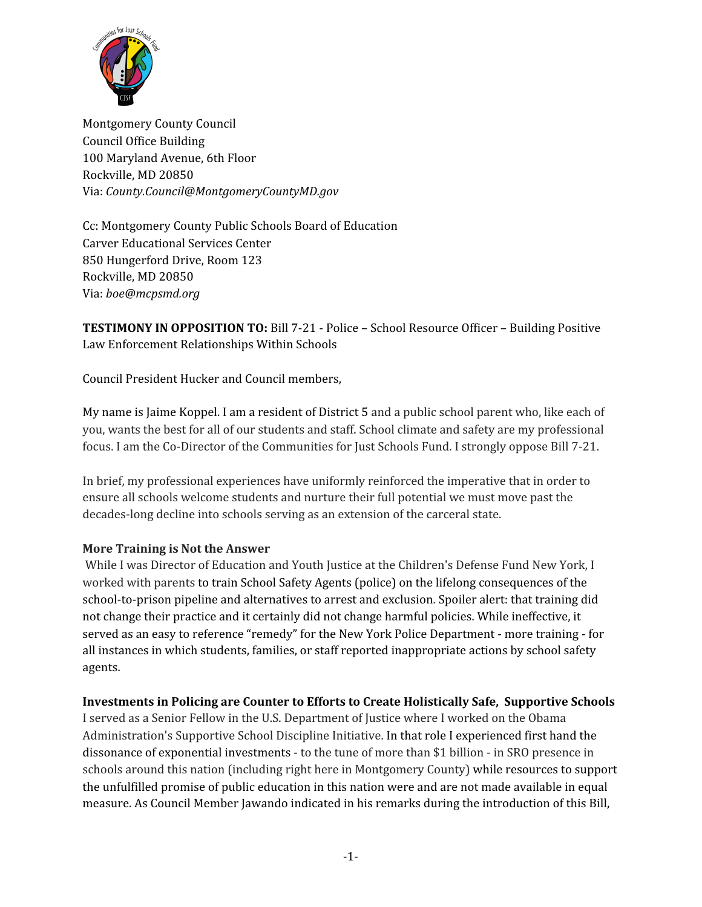

Montgomery County Council Council Office Building 100 Maryland Avenue, 6th Floor Rockville, MD 20850 Via: *County.Council@MontgomeryCountyMD.gov*

Cc: Montgomery County Public Schools Board of Education Carver Educational Services Center 850 Hungerford Drive, Room 123 Rockville, MD 20850 Via: *boe@mcpsmd.org*

**TESTIMONY IN OPPOSITION TO:** Bill 7-21 - Police – School Resource Officer – Building Positive Law Enforcement Relationships Within Schools

Council President Hucker and Council members,

My name is Jaime Koppel. I am a resident of District 5 and a public school parent who, like each of you, wants the best for all of our students and staff. School climate and safety are my professional focus. I am the Co-Director of the Communities for Just Schools Fund. I strongly oppose Bill 7-21.

In brief, my professional experiences have uniformly reinforced the imperative that in order to ensure all schools welcome students and nurture their full potential we must move past the decades-long decline into schools serving as an extension of the carceral state.

#### **More Training is Not the Answer**

While I was Director of Education and Youth Justice at the Children's Defense Fund New York, I worked with parents to train School Safety Agents (police) on the lifelong consequences of the school-to-prison pipeline and alternatives to arrest and exclusion. Spoiler alert: that training did not change their practice and it certainly did not change harmful policies. While ineffective, it served as an easy to reference "remedy" for the New York Police Department - more training - for all instances in which students, families, or staff reported inappropriate actions by school safety agents.

#### **Investments in Policing are Counter to Efforts to Create Holistically Safe, Supportive Schools**

I served as a Senior Fellow in the U.S. Department of Justice where I worked on the Obama Administration's Supportive School Discipline Initiative. In that role I experienced first hand the dissonance of exponential investments - to the tune of more than \$1 billion - in SRO presence in schools around this nation (including right here in Montgomery County) while resources to support the unfulfilled promise of public education in this nation were and are not made available in equal measure. As Council Member Jawando indicated in his remarks during the introduction of this Bill,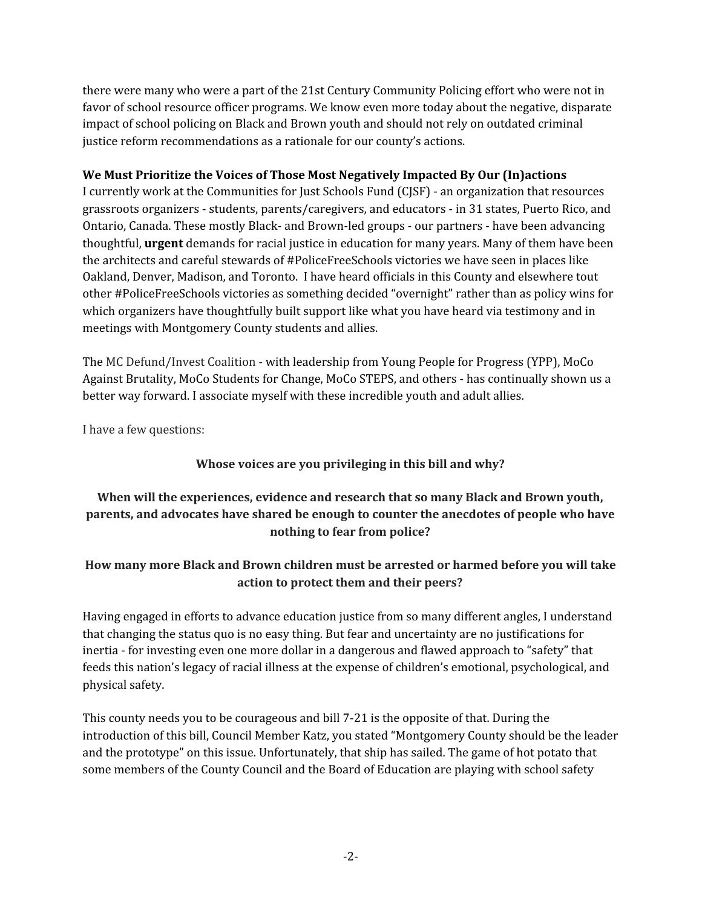there were many who were a part of the 21st Century Community Policing effort who were not in favor of school resource officer programs. We know even more today about the negative, disparate impact of school policing on Black and Brown youth and should not rely on outdated criminal justice reform recommendations as a rationale for our county's actions.

### **We Must Prioritize the Voices of Those Most Negatively Impacted By Our (In)actions**

I currently work at the Communities for Just Schools Fund (CJSF) - an organization that resources grassroots organizers - students, parents/caregivers, and educators - in 31 states, Puerto Rico, and Ontario, Canada. These mostly Black- and Brown-led groups - our partners - have been advancing thoughtful, **urgent** demands for racial justice in education for many years. Many of them have been the architects and careful stewards of #PoliceFreeSchools victories we have seen in places like Oakland, Denver, Madison, and Toronto. I have heard officials in this County and elsewhere tout other #PoliceFreeSchools victories as something decided "overnight" rather than as policy wins for which organizers have thoughtfully built support like what you have heard via testimony and in meetings with Montgomery County students and allies.

The MC Defund/Invest Coalition - with leadership from Young People for Progress (YPP), MoCo Against Brutality, MoCo Students for Change, MoCo STEPS, and others - has continually shown us a better way forward. I associate myself with these incredible youth and adult allies.

I have a few questions:

# **Whose voices are you privileging in this bill and why?**

# **When will the experiences, evidence and research that so many Black and Brown youth, parents, and advocates have shared be enough to counter the anecdotes of people who have nothing to fear from police?**

### **How many more Black and Brown children must be arrested or harmed before you will take action to protect them and their peers?**

Having engaged in efforts to advance education justice from so many different angles, I understand that changing the status quo is no easy thing. But fear and uncertainty are no justifications for inertia - for investing even one more dollar in a dangerous and flawed approach to "safety" that feeds this nation's legacy of racial illness at the expense of children's emotional, psychological, and physical safety.

This county needs you to be courageous and bill 7-21 is the opposite of that. During the introduction of this bill, Council Member Katz, you stated "Montgomery County should be the leader and the prototype" on this issue. Unfortunately, that ship has sailed. The game of hot potato that some members of the County Council and the Board of Education are playing with school safety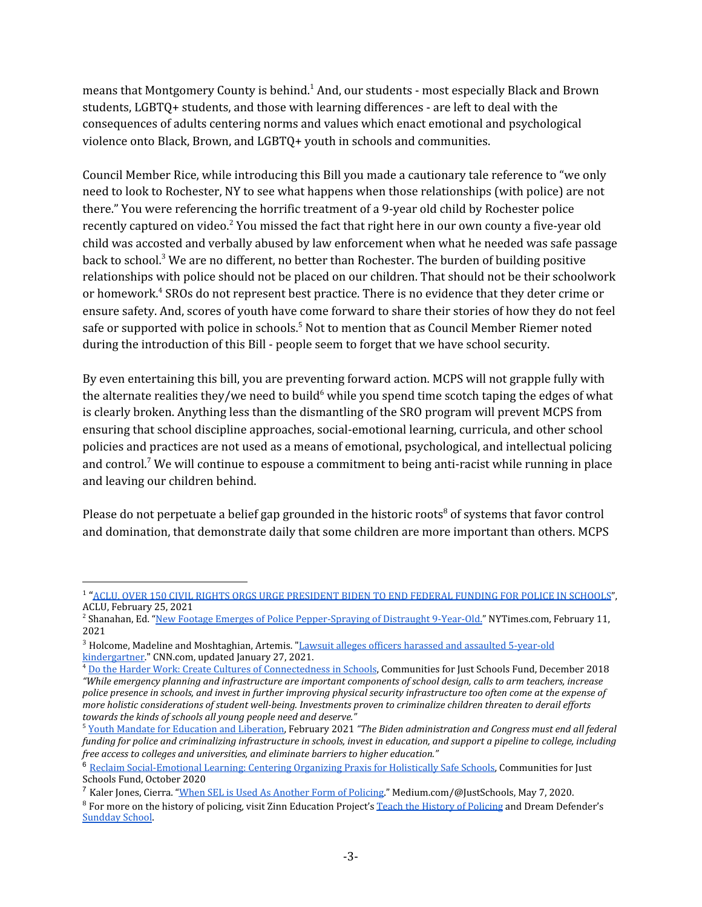means that Montgomery County is behind.<sup>1</sup> And, our students - most especially Black and Brown students, LGBTQ+ students, and those with learning differences - are left to deal with the consequences of adults centering norms and values which enact emotional and psychological violence onto Black, Brown, and LGBTQ+ youth in schools and communities.

Council Member Rice, while introducing this Bill you made a cautionary tale reference to "we only need to look to Rochester, NY to see what happens when those relationships (with police) are not there." You were referencing the horrific treatment of a 9-year old child by Rochester police recently captured on video.<sup>2</sup> You missed the fact that right here in our own county a five-year old child was accosted and verbally abused by law enforcement when what he needed was safe passage back to school.<sup>3</sup> We are no different, no better than Rochester. The burden of building positive relationships with police should not be placed on our children. That should not be their schoolwork or homework. <sup>4</sup> SROs do not represent best practice. There is no evidence that they deter crime or ensure safety. And, scores of youth have come forward to share their stories of how they do not feel safe or supported with police in schools.<sup>5</sup> Not to mention that as Council Member Riemer noted during the introduction of this Bill - people seem to forget that we have school security.

By even entertaining this bill, you are preventing forward action. MCPS will not grapple fully with the alternate realities they/we need to build $^6$  while you spend time scotch taping the edges of what is clearly broken. Anything less than the dismantling of the SRO program will prevent MCPS from ensuring that school discipline approaches, social-emotional learning, curricula, and other school policies and practices are not used as a means of emotional, psychological, and intellectual policing and control.<sup>7</sup> We will continue to espouse a commitment to being anti-racist while running in place and leaving our children behind.

Please do not perpetuate a belief gap grounded in the historic roots $^8$  of systems that favor control and domination, that demonstrate daily that some children are more important than others. MCPS

<sup>1</sup> "[ACLU, OVER 150 CIVIL RIGHTS ORGS URGE PRESIDENT BIDEN TO END FEDERAL FUNDING FOR POLICE IN SCHOOLS](https://www.aclu.org/press-releases/aclu-over-150-civil-rights-orgs-urge-president-biden-end-federal-funding-police)", ACLU, February 25, 2021

<sup>&</sup>lt;sup>2</sup> Shanahan, Ed. "<u>New Footage Emerges of Police Pepper-Spraying of Distraught 9-Year-Old.</u>" NYTimes.com, February 11, 2021

<sup>&</sup>lt;sup>3</sup> Holcome, Madeline and Moshtaghian, Artemis. "[Lawsuit alleges officers harassed and assaulted 5-year-old](https://www.cnn.com/2021/01/27/us/maryland-officers-assault-kindergartener/index.html) [kindergartner](https://www.cnn.com/2021/01/27/us/maryland-officers-assault-kindergartener/index.html)." CNN.com, updated January 27, 2021.

<sup>4</sup> [Do the Harder Work: Create Cultures of Connectedness in Schools](https://www.cjsfund.org/do-the-work), Communities for Just Schools Fund, December 2018 *"While emergency planning and infrastructure are important components of school design, calls to arm teachers, increase police presence in schools, and invest in further improving physical security infrastructure too often come at the expense of more holistic considerations of student well-being. Investments proven to criminalize children threaten to derail efforts towards the kinds of schools all young people need and deserve."*

<sup>5</sup> [Youth Mandate for Education and Liberation,](https://www.aclu.org/press-releases/aclu-over-150-civil-rights-orgs-urge-president-biden-end-federal-funding-police) February 2021 *"The Biden administration and Congress must end all federal funding for police and criminalizing infrastructure in schools, invest in education, and support a pipeline to college, including free access to colleges and universities, and eliminate barriers to higher education."*

<sup>&</sup>lt;sup>6</sup> [Reclaim Social-Emotional Learning: Centering Organizing Praxis for Holistically Safe Schools,](https://www.cjsfund.org/reclaimsel) Communities for Just Schools Fund, October 2020

<sup>7</sup> Kaler Jones, Cierra. ["When SEL is Used As Another Form of Policing.](https://medium.com/@justschools/when-sel-is-used-as-another-form-of-policing-fa53cf85dce4)" Medium.com/@JustSchools, May 7, 2020.

<sup>&</sup>lt;sup>8</sup> For more on the history of policing, visit Zinn Education Project's [Teach the History of Policing](https://www.zinnedproject.org/news/teach-history-of-policing/#:~:text=Blain%20on%20the%20%E2%80%9CRoots%20of,in%20their%20U.S.%20history%20textbooks.) and Dream Defender's [Sundday School.](https://dreamdefenders.org/sundday-school/)